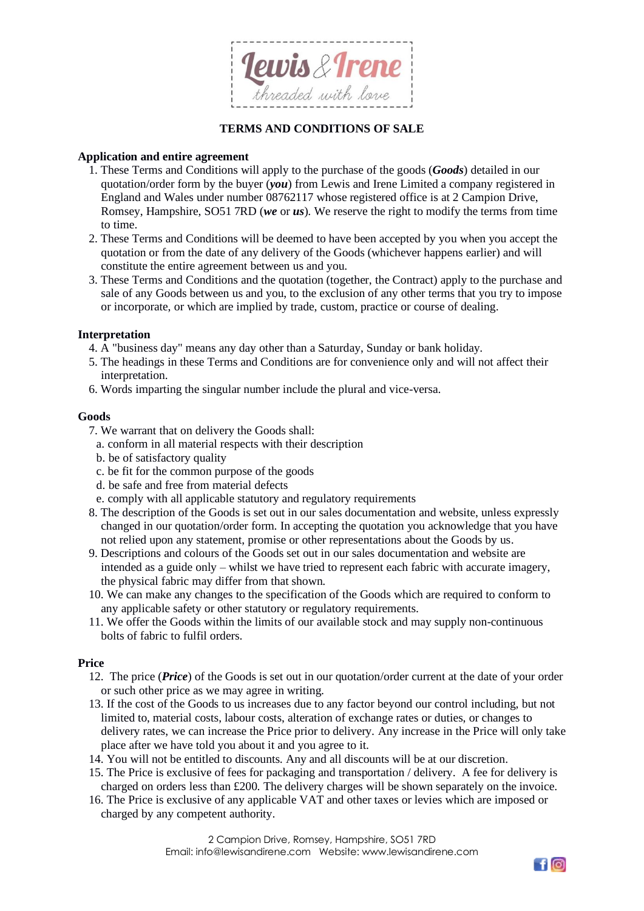

# **TERMS AND CONDITIONS OF SALE**

## **Application and entire agreement**

- 1. These Terms and Conditions will apply to the purchase of the goods (*Goods*) detailed in our quotation/order form by the buyer (*you*) from Lewis and Irene Limited a company registered in England and Wales under number 08762117 whose registered office is at 2 Campion Drive, Romsey, Hampshire, SO51 7RD (*we* or *us*). We reserve the right to modify the terms from time to time.
- 2. These Terms and Conditions will be deemed to have been accepted by you when you accept the quotation or from the date of any delivery of the Goods (whichever happens earlier) and will constitute the entire agreement between us and you.
- 3. These Terms and Conditions and the quotation (together, the Contract) apply to the purchase and sale of any Goods between us and you, to the exclusion of any other terms that you try to impose or incorporate, or which are implied by trade, custom, practice or course of dealing.

### **Interpretation**

- 4. A "business day" means any day other than a Saturday, Sunday or bank holiday.
- 5. The headings in these Terms and Conditions are for convenience only and will not affect their interpretation.
- 6. Words imparting the singular number include the plural and vice-versa.

# **Goods**

- 7. We warrant that on delivery the Goods shall:
	- a. conform in all material respects with their description
	- b. be of satisfactory quality
	- c. be fit for the common purpose of the goods
	- d. be safe and free from material defects
	- e. comply with all applicable statutory and regulatory requirements
- 8. The description of the Goods is set out in our sales documentation and website, unless expressly changed in our quotation/order form. In accepting the quotation you acknowledge that you have not relied upon any statement, promise or other representations about the Goods by us.
- 9. Descriptions and colours of the Goods set out in our sales documentation and website are intended as a guide only – whilst we have tried to represent each fabric with accurate imagery, the physical fabric may differ from that shown.
- 10. We can make any changes to the specification of the Goods which are required to conform to any applicable safety or other statutory or regulatory requirements.
- 11. We offer the Goods within the limits of our available stock and may supply non-continuous bolts of fabric to fulfil orders.

### **Price**

- 12. The price (*Price*) of the Goods is set out in our quotation/order current at the date of your order or such other price as we may agree in writing.
- 13. If the cost of the Goods to us increases due to any factor beyond our control including, but not limited to, material costs, labour costs, alteration of exchange rates or duties, or changes to delivery rates, we can increase the Price prior to delivery. Any increase in the Price will only take place after we have told you about it and you agree to it.
- 14. You will not be entitled to discounts. Any and all discounts will be at our discretion.
- 15. The Price is exclusive of fees for packaging and transportation / delivery. A fee for delivery is charged on orders less than £200. The delivery charges will be shown separately on the invoice.
- 16. The Price is exclusive of any applicable VAT and other taxes or levies which are imposed or charged by any competent authority.

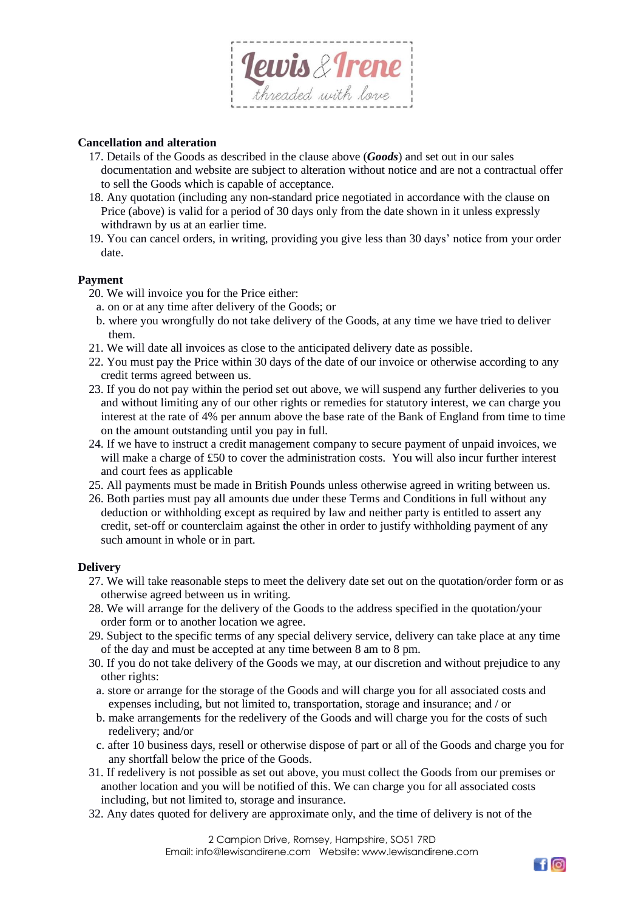

## **Cancellation and alteration**

- 17. Details of the Goods as described in the clause above (*Goods*) and set out in our sales documentation and website are subject to alteration without notice and are not a contractual offer to sell the Goods which is capable of acceptance.
- 18. Any quotation (including any non-standard price negotiated in accordance with the clause on Price (above) is valid for a period of 30 days only from the date shown in it unless expressly withdrawn by us at an earlier time.
- 19. You can cancel orders, in writing, providing you give less than 30 days' notice from your order date.

### **Payment**

- 20. We will invoice you for the Price either:
- a. on or at any time after delivery of the Goods; or
- b. where you wrongfully do not take delivery of the Goods, at any time we have tried to deliver them.
- 21. We will date all invoices as close to the anticipated delivery date as possible.
- 22. You must pay the Price within 30 days of the date of our invoice or otherwise according to any credit terms agreed between us.
- 23. If you do not pay within the period set out above, we will suspend any further deliveries to you and without limiting any of our other rights or remedies for statutory interest, we can charge you interest at the rate of 4% per annum above the base rate of the Bank of England from time to time on the amount outstanding until you pay in full.
- 24. If we have to instruct a credit management company to secure payment of unpaid invoices, we will make a charge of £50 to cover the administration costs. You will also incur further interest and court fees as applicable
- 25. All payments must be made in British Pounds unless otherwise agreed in writing between us.
- 26. Both parties must pay all amounts due under these Terms and Conditions in full without any deduction or withholding except as required by law and neither party is entitled to assert any credit, set-off or counterclaim against the other in order to justify withholding payment of any such amount in whole or in part.

### **Delivery**

- 27. We will take reasonable steps to meet the delivery date set out on the quotation/order form or as otherwise agreed between us in writing.
- 28. We will arrange for the delivery of the Goods to the address specified in the quotation/your order form or to another location we agree.
- 29. Subject to the specific terms of any special delivery service, delivery can take place at any time of the day and must be accepted at any time between 8 am to 8 pm.
- 30. If you do not take delivery of the Goods we may, at our discretion and without prejudice to any other rights:
	- a. store or arrange for the storage of the Goods and will charge you for all associated costs and expenses including, but not limited to, transportation, storage and insurance; and / or
	- b. make arrangements for the redelivery of the Goods and will charge you for the costs of such redelivery; and/or
	- c. after 10 business days, resell or otherwise dispose of part or all of the Goods and charge you for any shortfall below the price of the Goods.
- 31. If redelivery is not possible as set out above, you must collect the Goods from our premises or another location and you will be notified of this. We can charge you for all associated costs including, but not limited to, storage and insurance.
- 32. Any dates quoted for delivery are approximate only, and the time of delivery is not of the

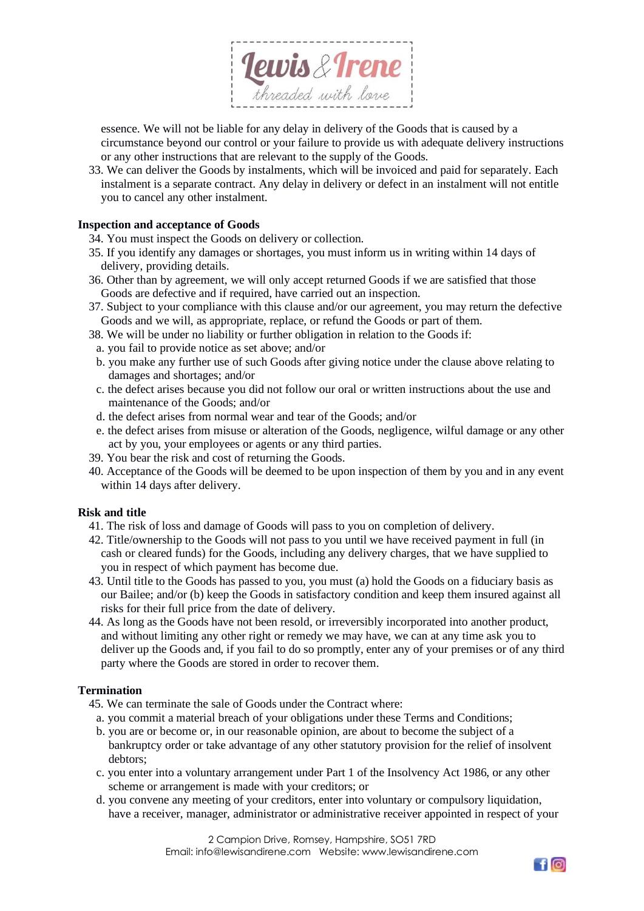

essence. We will not be liable for any delay in delivery of the Goods that is caused by a circumstance beyond our control or your failure to provide us with adequate delivery instructions or any other instructions that are relevant to the supply of the Goods.

33. We can deliver the Goods by instalments, which will be invoiced and paid for separately. Each instalment is a separate contract. Any delay in delivery or defect in an instalment will not entitle you to cancel any other instalment.

## **Inspection and acceptance of Goods**

- 34. You must inspect the Goods on delivery or collection.
- 35. If you identify any damages or shortages, you must inform us in writing within 14 days of delivery, providing details.
- 36. Other than by agreement, we will only accept returned Goods if we are satisfied that those Goods are defective and if required, have carried out an inspection.
- 37. Subject to your compliance with this clause and/or our agreement, you may return the defective Goods and we will, as appropriate, replace, or refund the Goods or part of them.
- 38. We will be under no liability or further obligation in relation to the Goods if:
	- a. you fail to provide notice as set above; and/or
	- b. you make any further use of such Goods after giving notice under the clause above relating to damages and shortages; and/or
	- c. the defect arises because you did not follow our oral or written instructions about the use and maintenance of the Goods; and/or
	- d. the defect arises from normal wear and tear of the Goods; and/or
	- e. the defect arises from misuse or alteration of the Goods, negligence, wilful damage or any other act by you, your employees or agents or any third parties.
- 39. You bear the risk and cost of returning the Goods.
- 40. Acceptance of the Goods will be deemed to be upon inspection of them by you and in any event within 14 days after delivery.

### **Risk and title**

- 41. The risk of loss and damage of Goods will pass to you on completion of delivery.
- 42. Title/ownership to the Goods will not pass to you until we have received payment in full (in cash or cleared funds) for the Goods, including any delivery charges, that we have supplied to you in respect of which payment has become due.
- 43. Until title to the Goods has passed to you, you must (a) hold the Goods on a fiduciary basis as our Bailee; and/or (b) keep the Goods in satisfactory condition and keep them insured against all risks for their full price from the date of delivery.
- 44. As long as the Goods have not been resold, or irreversibly incorporated into another product, and without limiting any other right or remedy we may have, we can at any time ask you to deliver up the Goods and, if you fail to do so promptly, enter any of your premises or of any third party where the Goods are stored in order to recover them.

### **Termination**

- 45. We can terminate the sale of Goods under the Contract where:
	- a. you commit a material breach of your obligations under these Terms and Conditions;
	- b. you are or become or, in our reasonable opinion, are about to become the subject of a bankruptcy order or take advantage of any other statutory provision for the relief of insolvent debtors;
	- c. you enter into a voluntary arrangement under Part 1 of the Insolvency Act 1986, or any other scheme or arrangement is made with your creditors; or
	- d. you convene any meeting of your creditors, enter into voluntary or compulsory liquidation, have a receiver, manager, administrator or administrative receiver appointed in respect of your

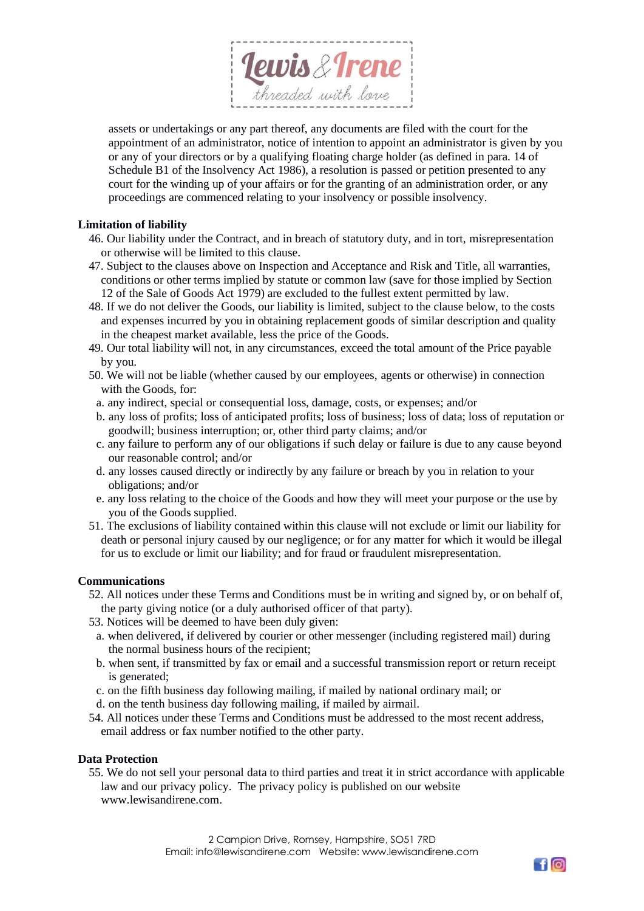

assets or undertakings or any part thereof, any documents are filed with the court for the appointment of an administrator, notice of intention to appoint an administrator is given by you or any of your directors or by a qualifying floating charge holder (as defined in para. 14 of Schedule B1 of the Insolvency Act 1986), a resolution is passed or petition presented to any court for the winding up of your affairs or for the granting of an administration order, or any proceedings are commenced relating to your insolvency or possible insolvency.

# **Limitation of liability**

- 46. Our liability under the Contract, and in breach of statutory duty, and in tort, misrepresentation or otherwise will be limited to this clause.
- 47. Subject to the clauses above on Inspection and Acceptance and Risk and Title, all warranties, conditions or other terms implied by statute or common law (save for those implied by Section 12 of the Sale of Goods Act 1979) are excluded to the fullest extent permitted by law.
- 48. If we do not deliver the Goods, our liability is limited, subject to the clause below, to the costs and expenses incurred by you in obtaining replacement goods of similar description and quality in the cheapest market available, less the price of the Goods.
- 49. Our total liability will not, in any circumstances, exceed the total amount of the Price payable by you.
- 50. We will not be liable (whether caused by our employees, agents or otherwise) in connection with the Goods, for:
	- a. any indirect, special or consequential loss, damage, costs, or expenses; and/or
	- b. any loss of profits; loss of anticipated profits; loss of business; loss of data; loss of reputation or goodwill; business interruption; or, other third party claims; and/or
	- c. any failure to perform any of our obligations if such delay or failure is due to any cause beyond our reasonable control; and/or
- d. any losses caused directly or indirectly by any failure or breach by you in relation to your obligations; and/or
- e. any loss relating to the choice of the Goods and how they will meet your purpose or the use by you of the Goods supplied.
- 51. The exclusions of liability contained within this clause will not exclude or limit our liability for death or personal injury caused by our negligence; or for any matter for which it would be illegal for us to exclude or limit our liability; and for fraud or fraudulent misrepresentation.

# **Communications**

- 52. All notices under these Terms and Conditions must be in writing and signed by, or on behalf of, the party giving notice (or a duly authorised officer of that party).
- 53. Notices will be deemed to have been duly given:
	- a. when delivered, if delivered by courier or other messenger (including registered mail) during the normal business hours of the recipient;
	- b. when sent, if transmitted by fax or email and a successful transmission report or return receipt is generated;
	- c. on the fifth business day following mailing, if mailed by national ordinary mail; or
	- d. on the tenth business day following mailing, if mailed by airmail.
- 54. All notices under these Terms and Conditions must be addressed to the most recent address, email address or fax number notified to the other party.

### **Data Protection**

55. We do not sell your personal data to third parties and treat it in strict accordance with applicable law and our privacy policy. The privacy policy is published on our website www.lewisandirene.com.